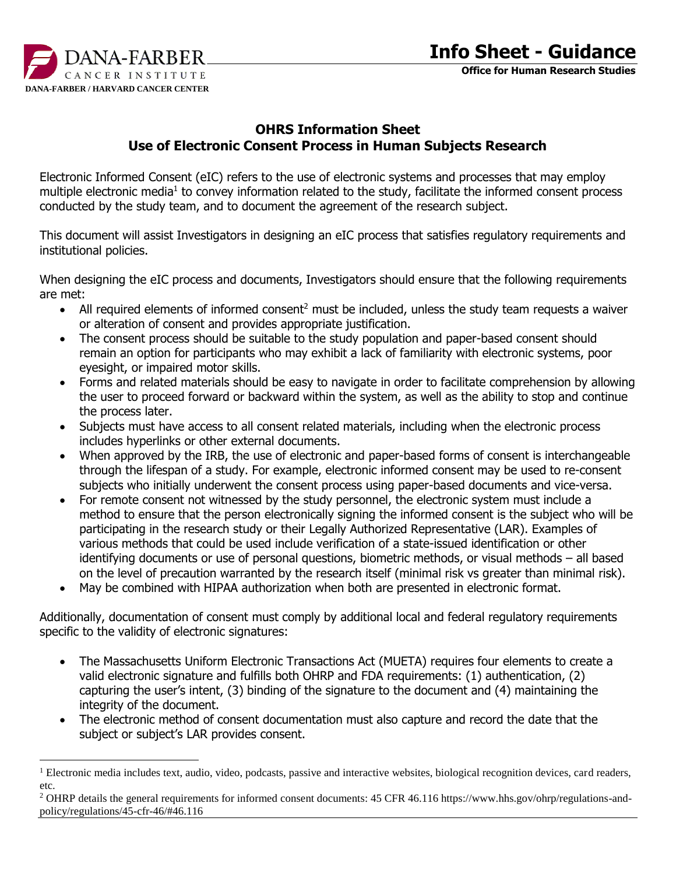

 $\overline{a}$ 

## **OHRS Information Sheet Use of Electronic Consent Process in Human Subjects Research**

Electronic Informed Consent (eIC) refers to the use of electronic systems and processes that may employ multiple electronic media<sup>1</sup> to convey information related to the study, facilitate the informed consent process conducted by the study team, and to document the agreement of the research subject.

This document will assist Investigators in designing an eIC process that satisfies regulatory requirements and institutional policies.

When designing the eIC process and documents, Investigators should ensure that the following requirements are met:

- All required elements of informed consent<sup>2</sup> must be included, unless the study team requests a waiver or alteration of consent and provides appropriate justification.
- The consent process should be suitable to the study population and paper-based consent should remain an option for participants who may exhibit a lack of familiarity with electronic systems, poor eyesight, or impaired motor skills.
- Forms and related materials should be easy to navigate in order to facilitate comprehension by allowing the user to proceed forward or backward within the system, as well as the ability to stop and continue the process later.
- Subjects must have access to all consent related materials, including when the electronic process includes hyperlinks or other external documents.
- When approved by the IRB, the use of electronic and paper-based forms of consent is interchangeable through the lifespan of a study. For example, electronic informed consent may be used to re-consent subjects who initially underwent the consent process using paper-based documents and vice-versa.
- For remote consent not witnessed by the study personnel, the electronic system must include a method to ensure that the person electronically signing the informed consent is the subject who will be participating in the research study or their Legally Authorized Representative (LAR). Examples of various methods that could be used include verification of a state-issued identification or other identifying documents or use of personal questions, biometric methods, or visual methods – all based on the level of precaution warranted by the research itself (minimal risk vs greater than minimal risk).
- May be combined with HIPAA authorization when both are presented in electronic format.

Additionally, documentation of consent must comply by additional local and federal regulatory requirements specific to the validity of electronic signatures:

- The Massachusetts Uniform Electronic Transactions Act (MUETA) requires four elements to create a valid electronic signature and fulfills both OHRP and FDA requirements: (1) authentication, (2) capturing the user's intent, (3) binding of the signature to the document and (4) maintaining the integrity of the document.
- The electronic method of consent documentation must also capture and record the date that the subject or subject's LAR provides consent.

<sup>&</sup>lt;sup>1</sup> Electronic media includes text, audio, video, podcasts, passive and interactive websites, biological recognition devices, card readers, etc.

<sup>&</sup>lt;sup>2</sup> OHRP details the general requirements for informed consent documents: 45 CFR 46.116 https://www.hhs.gov/ohrp/regulations-andpolicy/regulations/45-cfr-46/#46.116